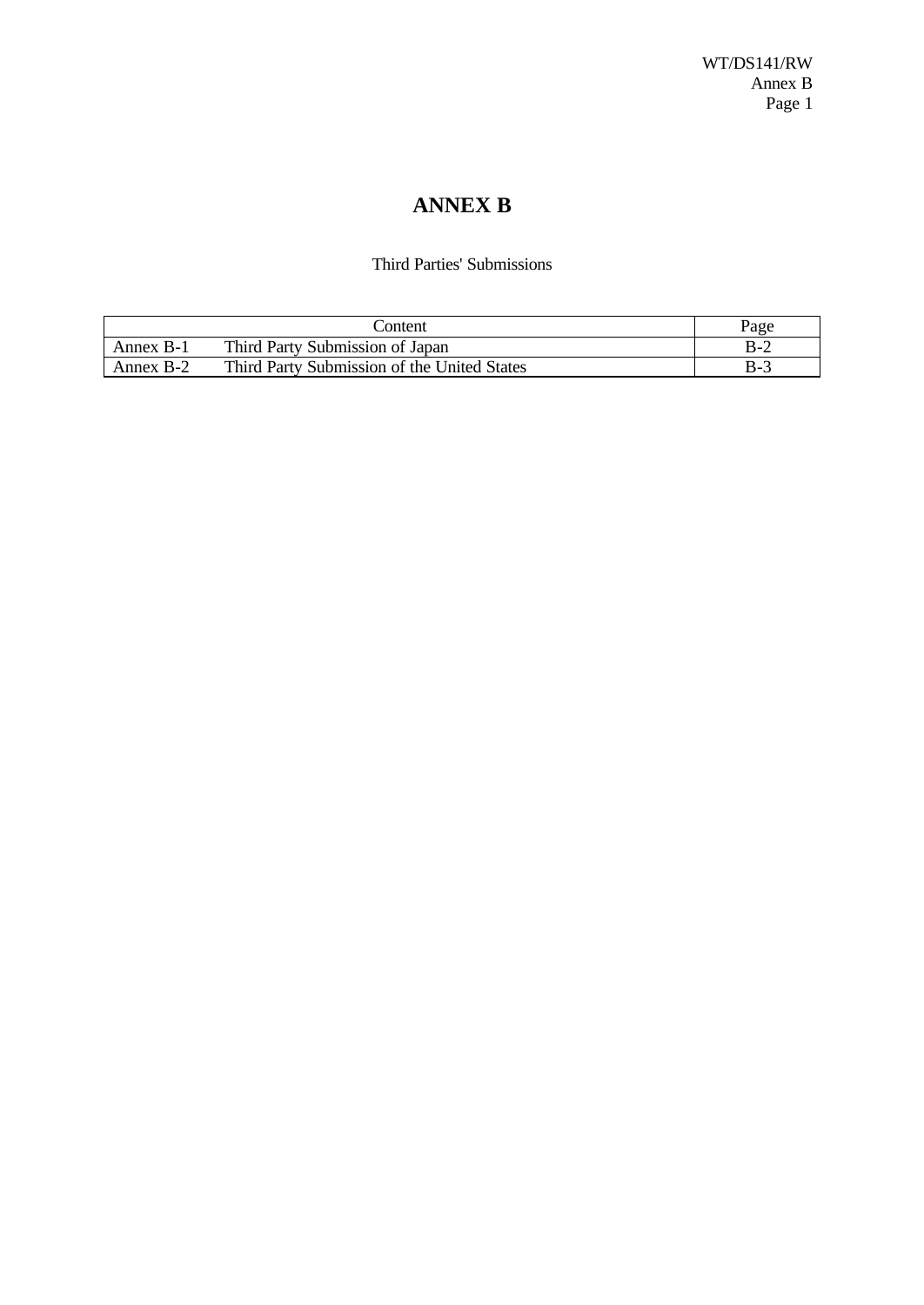# **ANNEX B**

### Third Parties' Submissions

|           | `ontent                                     | Page  |
|-----------|---------------------------------------------|-------|
| Annex B-1 | Third Party Submission of Japan             | $B-2$ |
| Annex B-2 | Third Party Submission of the United States | B-3   |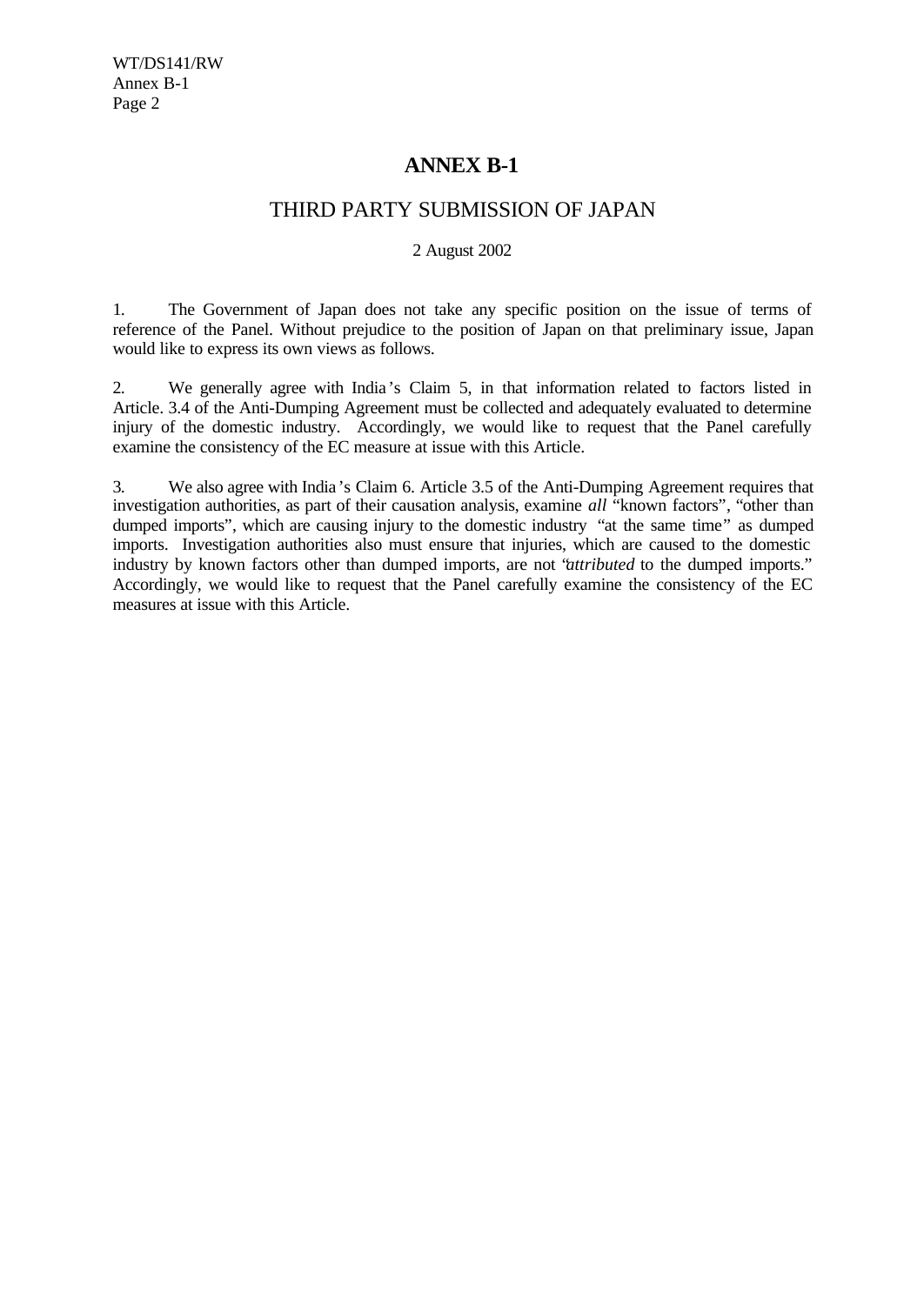# **ANNEX B-1**

## THIRD PARTY SUBMISSION OF JAPAN

### 2 August 2002

1. The Government of Japan does not take any specific position on the issue of terms of reference of the Panel. Without prejudice to the position of Japan on that preliminary issue, Japan would like to express its own views as follows.

2. We generally agree with India 's Claim 5, in that information related to factors listed in Article. 3.4 of the Anti-Dumping Agreement must be collected and adequately evaluated to determine injury of the domestic industry. Accordingly, we would like to request that the Panel carefully examine the consistency of the EC measure at issue with this Article.

3. We also agree with India 's Claim 6. Article 3.5 of the Anti-Dumping Agreement requires that investigation authorities, as part of their causation analysis, examine *all* "known factors", "other than dumped imports", which are causing injury to the domestic industry "at the same time" as dumped imports. Investigation authorities also must ensure that injuries, which are caused to the domestic industry by known factors other than dumped imports, are not "*attributed* to the dumped imports." Accordingly, we would like to request that the Panel carefully examine the consistency of the EC measures at issue with this Article.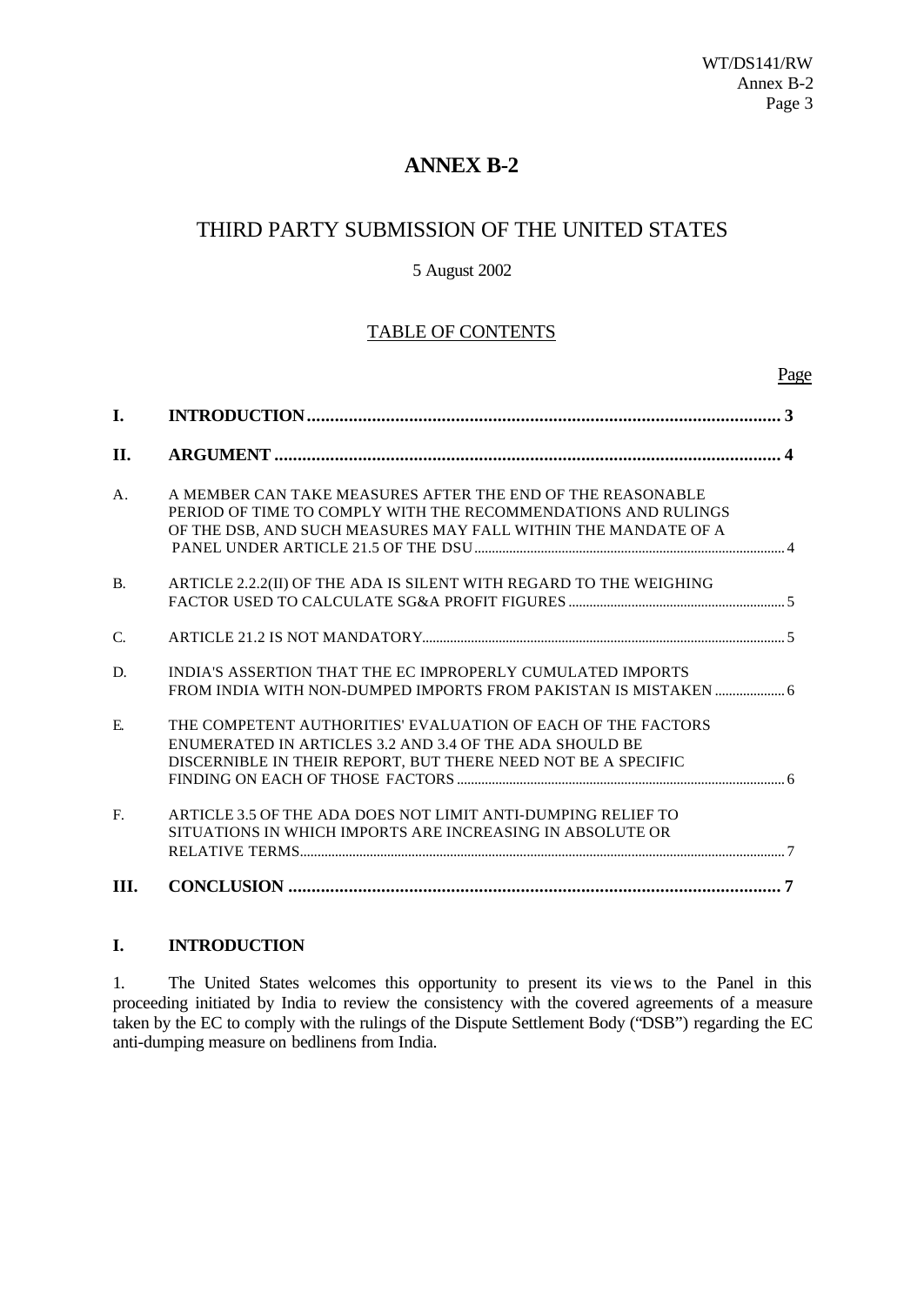# **ANNEX B-2**

# THIRD PARTY SUBMISSION OF THE UNITED STATES

### 5 August 2002

### TABLE OF CONTENTS

|             |                                                                                                                                                                                               | <u>Page</u> |
|-------------|-----------------------------------------------------------------------------------------------------------------------------------------------------------------------------------------------|-------------|
| I.          |                                                                                                                                                                                               | 3           |
| II.         |                                                                                                                                                                                               |             |
| $A_{\cdot}$ | A MEMBER CAN TAKE MEASURES AFTER THE END OF THE REASONABLE<br>PERIOD OF TIME TO COMPLY WITH THE RECOMMENDATIONS AND RULINGS<br>OF THE DSB, AND SUCH MEASURES MAY FALL WITHIN THE MANDATE OF A |             |
| <b>B.</b>   | ARTICLE 2.2.2(II) OF THE ADA IS SILENT WITH REGARD TO THE WEIGHING                                                                                                                            |             |
| C.          |                                                                                                                                                                                               |             |
| D.          | INDIA'S ASSERTION THAT THE EC IMPROPERLY CUMULATED IMPORTS                                                                                                                                    |             |
| E.          | THE COMPETENT AUTHORITIES' EVALUATION OF EACH OF THE FACTORS<br>ENUMERATED IN ARTICLES 3.2 AND 3.4 OF THE ADA SHOULD BE<br>DISCERNIBLE IN THEIR REPORT, BUT THERE NEED NOT BE A SPECIFIC      |             |
| F.          | ARTICLE 3.5 OF THE ADA DOES NOT LIMIT ANTI-DUMPING RELIEF TO<br>SITUATIONS IN WHICH IMPORTS ARE INCREASING IN ABSOLUTE OR                                                                     |             |
| Ш.          |                                                                                                                                                                                               |             |

### **I. INTRODUCTION**

1. The United States welcomes this opportunity to present its views to the Panel in this proceeding initiated by India to review the consistency with the covered agreements of a measure taken by the EC to comply with the rulings of the Dispute Settlement Body ("DSB") regarding the EC anti-dumping measure on bedlinens from India.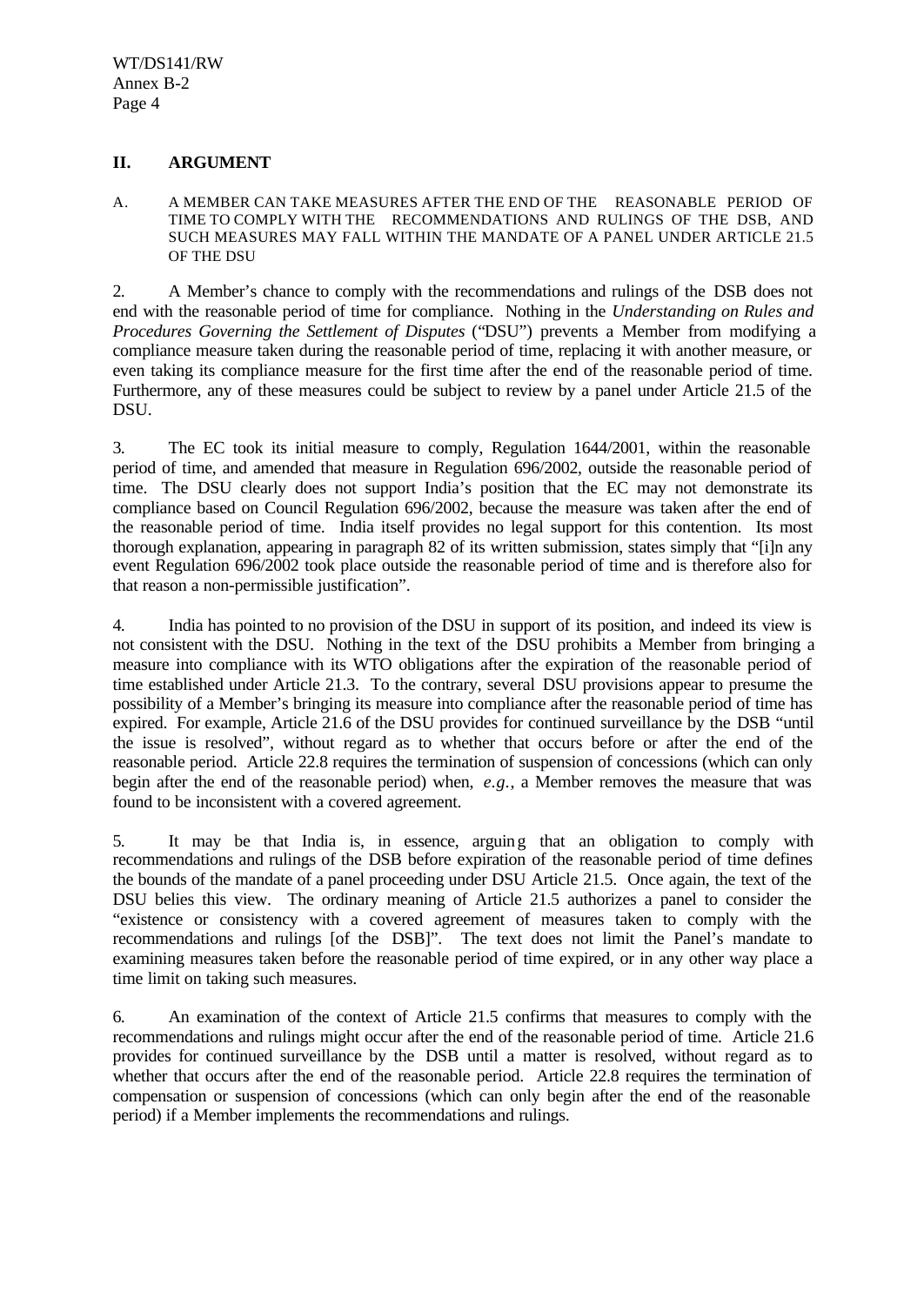### **II. ARGUMENT**

A. A MEMBER CAN TAKE MEASURES AFTER THE END OF THE REASONABLE PERIOD OF TIME TO COMPLY WITH THE RECOMMENDATIONS AND RULINGS OF THE DSB, AND SUCH MEASURES MAY FALL WITHIN THE MANDATE OF A PANEL UNDER ARTICLE 21.5 OF THE DSU

2. A Member's chance to comply with the recommendations and rulings of the DSB does not end with the reasonable period of time for compliance. Nothing in the *Understanding on Rules and Procedures Governing the Settlement of Disputes* ("DSU") prevents a Member from modifying a compliance measure taken during the reasonable period of time, replacing it with another measure, or even taking its compliance measure for the first time after the end of the reasonable period of time. Furthermore, any of these measures could be subject to review by a panel under Article 21.5 of the DSU.

3. The EC took its initial measure to comply, Regulation 1644/2001, within the reasonable period of time, and amended that measure in Regulation 696/2002, outside the reasonable period of time. The DSU clearly does not support India's position that the EC may not demonstrate its compliance based on Council Regulation 696/2002, because the measure was taken after the end of the reasonable period of time. India itself provides no legal support for this contention. Its most thorough explanation, appearing in paragraph 82 of its written submission, states simply that "[i]n any event Regulation 696/2002 took place outside the reasonable period of time and is therefore also for that reason a non-permissible justification".

4. India has pointed to no provision of the DSU in support of its position, and indeed its view is not consistent with the DSU. Nothing in the text of the DSU prohibits a Member from bringing a measure into compliance with its WTO obligations after the expiration of the reasonable period of time established under Article 21.3. To the contrary, several DSU provisions appear to presume the possibility of a Member's bringing its measure into compliance after the reasonable period of time has expired. For example, Article 21.6 of the DSU provides for continued surveillance by the DSB "until the issue is resolved", without regard as to whether that occurs before or after the end of the reasonable period. Article 22.8 requires the termination of suspension of concessions (which can only begin after the end of the reasonable period) when, *e.g.*, a Member removes the measure that was found to be inconsistent with a covered agreement.

5. It may be that India is, in essence, arguing that an obligation to comply with recommendations and rulings of the DSB before expiration of the reasonable period of time defines the bounds of the mandate of a panel proceeding under DSU Article 21.5. Once again, the text of the DSU belies this view. The ordinary meaning of Article 21.5 authorizes a panel to consider the "existence or consistency with a covered agreement of measures taken to comply with the recommendations and rulings [of the DSB]". The text does not limit the Panel's mandate to examining measures taken before the reasonable period of time expired, or in any other way place a time limit on taking such measures.

6. An examination of the context of Article 21.5 confirms that measures to comply with the recommendations and rulings might occur after the end of the reasonable period of time. Article 21.6 provides for continued surveillance by the DSB until a matter is resolved, without regard as to whether that occurs after the end of the reasonable period. Article 22.8 requires the termination of compensation or suspension of concessions (which can only begin after the end of the reasonable period) if a Member implements the recommendations and rulings.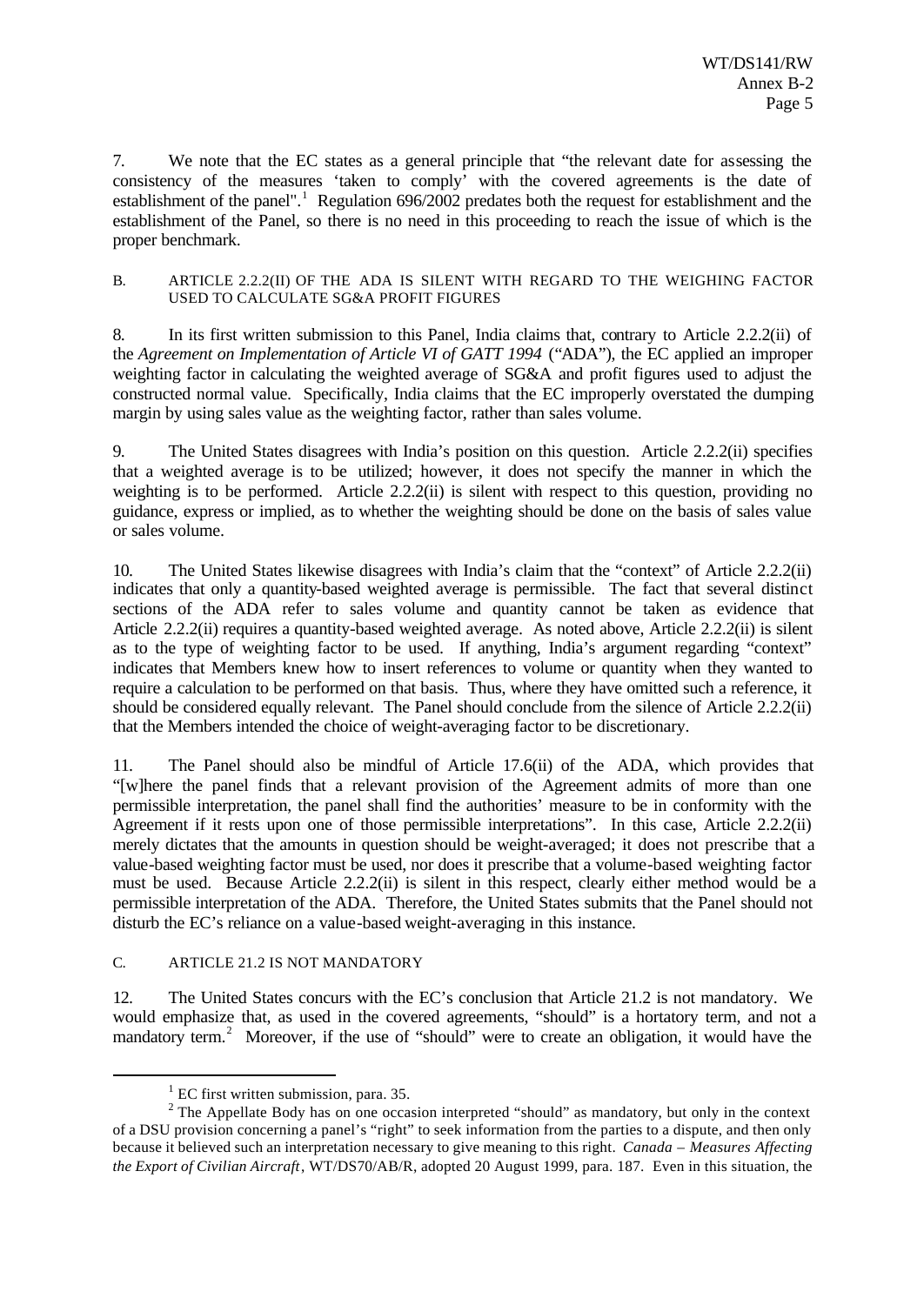7. We note that the EC states as a general principle that "the relevant date for assessing the consistency of the measures 'taken to comply' with the covered agreements is the date of establishment of the panel".<sup>1</sup> Regulation 696/2002 predates both the request for establishment and the establishment of the Panel, so there is no need in this proceeding to reach the issue of which is the proper benchmark.

#### B. ARTICLE 2.2.2(II) OF THE ADA IS SILENT WITH REGARD TO THE WEIGHING FACTOR USED TO CALCULATE SG&A PROFIT FIGURES

8. In its first written submission to this Panel, India claims that, contrary to Article 2.2.2(ii) of the *Agreement on Implementation of Article VI of GATT 1994* ("ADA"), the EC applied an improper weighting factor in calculating the weighted average of SG&A and profit figures used to adjust the constructed normal value. Specifically, India claims that the EC improperly overstated the dumping margin by using sales value as the weighting factor, rather than sales volume.

9. The United States disagrees with India's position on this question. Article 2.2.2(ii) specifies that a weighted average is to be utilized; however, it does not specify the manner in which the weighting is to be performed. Article 2.2.2(ii) is silent with respect to this question, providing no guidance, express or implied, as to whether the weighting should be done on the basis of sales value or sales volume.

10. The United States likewise disagrees with India's claim that the "context" of Article 2.2.2(ii) indicates that only a quantity-based weighted average is permissible. The fact that several distinct sections of the ADA refer to sales volume and quantity cannot be taken as evidence that Article 2.2.2(ii) requires a quantity-based weighted average. As noted above, Article 2.2.2(ii) is silent as to the type of weighting factor to be used. If anything, India's argument regarding "context" indicates that Members knew how to insert references to volume or quantity when they wanted to require a calculation to be performed on that basis. Thus, where they have omitted such a reference, it should be considered equally relevant. The Panel should conclude from the silence of Article 2.2.2(ii) that the Members intended the choice of weight-averaging factor to be discretionary.

11. The Panel should also be mindful of Article 17.6(ii) of the ADA, which provides that "[w]here the panel finds that a relevant provision of the Agreement admits of more than one permissible interpretation, the panel shall find the authorities' measure to be in conformity with the Agreement if it rests upon one of those permissible interpretations". In this case, Article 2.2.2(ii) merely dictates that the amounts in question should be weight-averaged; it does not prescribe that a value-based weighting factor must be used, nor does it prescribe that a volume-based weighting factor must be used. Because Article 2.2.2(ii) is silent in this respect, clearly either method would be a permissible interpretation of the ADA. Therefore, the United States submits that the Panel should not disturb the EC's reliance on a value-based weight-averaging in this instance.

### C. ARTICLE 21.2 IS NOT MANDATORY

l

12. The United States concurs with the EC's conclusion that Article 21.2 is not mandatory. We would emphasize that, as used in the covered agreements, "should" is a hortatory term, and not a mandatory term.<sup>2</sup> Moreover, if the use of "should" were to create an obligation, it would have the

 $<sup>1</sup>$  EC first written submission, para. 35.</sup>

<sup>&</sup>lt;sup>2</sup> The Appellate Body has on one occasion interpreted "should" as mandatory, but only in the context of a DSU provision concerning a panel's "right" to seek information from the parties to a dispute, and then only because it believed such an interpretation necessary to give meaning to this right. *Canada – Measures Affecting the Export of Civilian Aircraft*, WT/DS70/AB/R, adopted 20 August 1999, para. 187. Even in this situation, the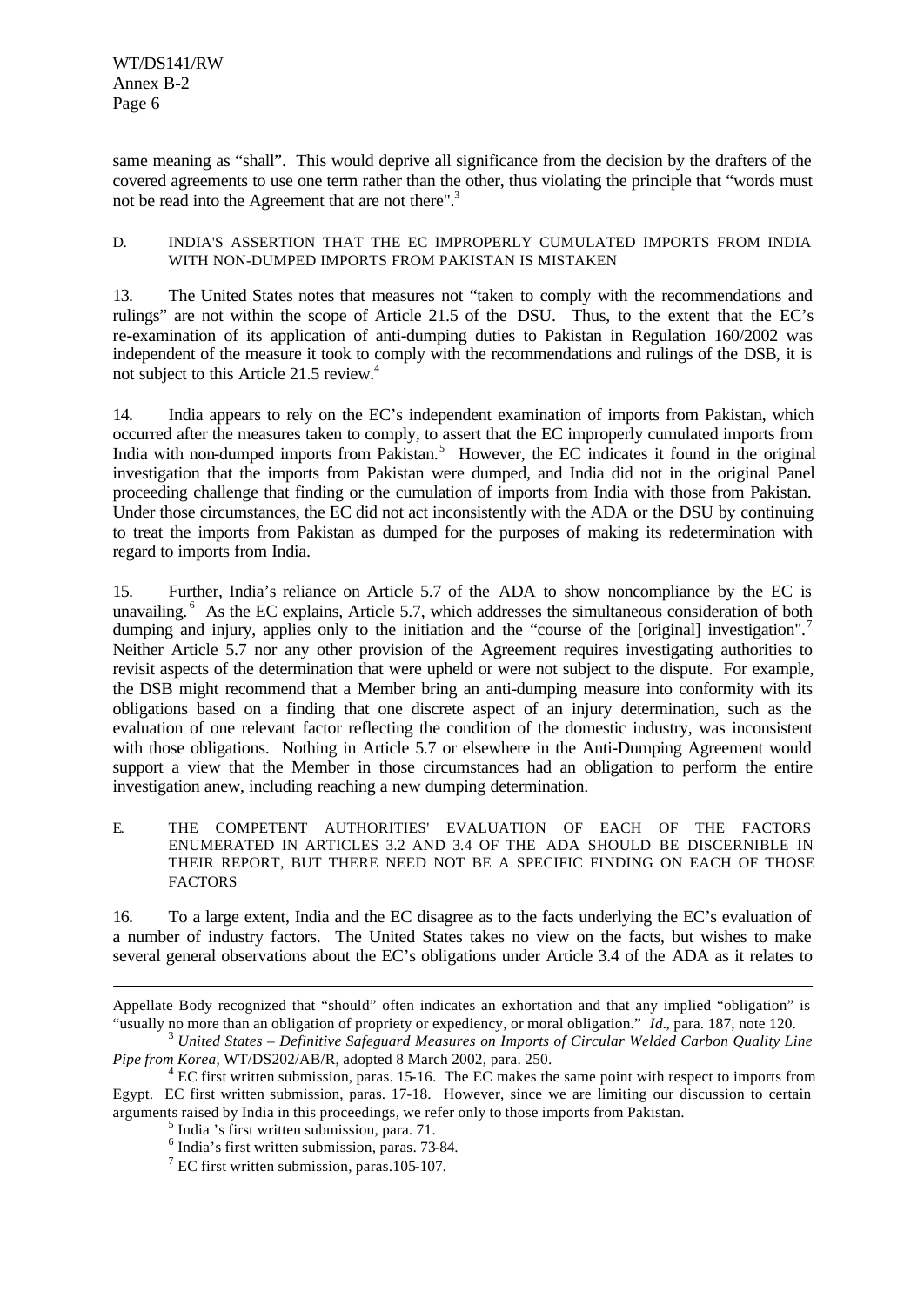WT/DS141/RW Annex B-2 Page 6

same meaning as "shall". This would deprive all significance from the decision by the drafters of the covered agreements to use one term rather than the other, thus violating the principle that "words must not be read into the Agreement that are not there".<sup>3</sup>

#### D. INDIA'S ASSERTION THAT THE EC IMPROPERLY CUMULATED IMPORTS FROM INDIA WITH NON-DUMPED IMPORTS FROM PAKISTAN IS MISTAKEN

13. The United States notes that measures not "taken to comply with the recommendations and rulings" are not within the scope of Article 21.5 of the DSU. Thus, to the extent that the EC's re-examination of its application of anti-dumping duties to Pakistan in Regulation 160/2002 was independent of the measure it took to comply with the recommendations and rulings of the DSB, it is not subject to this Article 21.5 review.<sup>4</sup>

14. India appears to rely on the EC's independent examination of imports from Pakistan, which occurred after the measures taken to comply, to assert that the EC improperly cumulated imports from India with non-dumped imports from Pakistan.<sup>5</sup> However, the EC indicates it found in the original investigation that the imports from Pakistan were dumped, and India did not in the original Panel proceeding challenge that finding or the cumulation of imports from India with those from Pakistan. Under those circumstances, the EC did not act inconsistently with the ADA or the DSU by continuing to treat the imports from Pakistan as dumped for the purposes of making its redetermination with regard to imports from India.

15. Further, India's reliance on Article 5.7 of the ADA to show noncompliance by the EC is unavailing.<sup>6</sup> As the EC explains, Article 5.7, which addresses the simultaneous consideration of both dumping and injury, applies only to the initiation and the "course of the [original] investigation".<sup>7</sup> Neither Article 5.7 nor any other provision of the Agreement requires investigating authorities to revisit aspects of the determination that were upheld or were not subject to the dispute. For example, the DSB might recommend that a Member bring an anti-dumping measure into conformity with its obligations based on a finding that one discrete aspect of an injury determination, such as the evaluation of one relevant factor reflecting the condition of the domestic industry, was inconsistent with those obligations. Nothing in Article 5.7 or elsewhere in the Anti-Dumping Agreement would support a view that the Member in those circumstances had an obligation to perform the entire investigation anew, including reaching a new dumping determination.

E. THE COMPETENT AUTHORITIES' EVALUATION OF EACH OF THE FACTORS ENUMERATED IN ARTICLES 3.2 AND 3.4 OF THE ADA SHOULD BE DISCERNIBLE IN THEIR REPORT, BUT THERE NEED NOT BE A SPECIFIC FINDING ON EACH OF THOSE **FACTORS** 

16. To a large extent, India and the EC disagree as to the facts underlying the EC's evaluation of a number of industry factors. The United States takes no view on the facts, but wishes to make several general observations about the EC's obligations under Article 3.4 of the ADA as it relates to

l

Appellate Body recognized that "should" often indicates an exhortation and that any implied "obligation" is "usually no more than an obligation of propriety or expediency, or moral obligation." *Id.*, para. 187, note 120.

<sup>3</sup> *United States – Definitive Safeguard Measures on Imports of Circular Welded Carbon Quality Line Pipe from Korea*, WT/DS202/AB/R, adopted 8 March 2002, para. 250.

 $4 \text{ EC}$  first written submission, paras. 15-16. The EC makes the same point with respect to imports from Egypt. EC first written submission, paras. 17-18. However, since we are limiting our discussion to certain arguments raised by India in this proceedings, we refer only to those imports from Pakistan.

<sup>5</sup> India 's first written submission, para. 71.

<sup>6</sup> India's first written submission, paras. 73-84.

<sup>&</sup>lt;sup>7</sup> EC first written submission, paras.105-107.